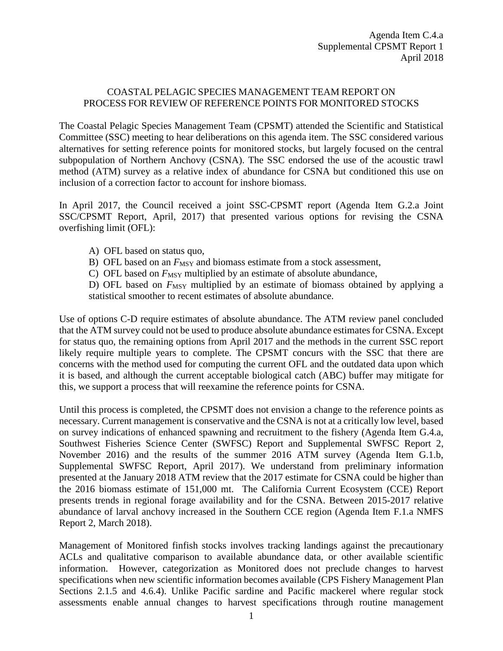## COASTAL PELAGIC SPECIES MANAGEMENT TEAM REPORT ON PROCESS FOR REVIEW OF REFERENCE POINTS FOR MONITORED STOCKS

The Coastal Pelagic Species Management Team (CPSMT) attended the Scientific and Statistical Committee (SSC) meeting to hear deliberations on this agenda item. The SSC considered various alternatives for setting reference points for monitored stocks, but largely focused on the central subpopulation of Northern Anchovy (CSNA). The SSC endorsed the use of the acoustic trawl method (ATM) survey as a relative index of abundance for CSNA but conditioned this use on inclusion of a correction factor to account for inshore biomass.

In April 2017, the Council received a joint SSC-CPSMT report (Agenda Item G.2.a Joint SSC/CPSMT Report, April, 2017) that presented various options for revising the CSNA overfishing limit (OFL):

- A) OFL based on status quo,
- B) OFL based on an  $F_{\text{MSY}}$  and biomass estimate from a stock assessment,
- C) OFL based on  $F_{\text{MSY}}$  multiplied by an estimate of absolute abundance,

D) OFL based on  $F_{\text{MSY}}$  multiplied by an estimate of biomass obtained by applying a statistical smoother to recent estimates of absolute abundance.

Use of options C-D require estimates of absolute abundance. The ATM review panel concluded that the ATM survey could not be used to produce absolute abundance estimates for CSNA. Except for status quo, the remaining options from April 2017 and the methods in the current SSC report likely require multiple years to complete. The CPSMT concurs with the SSC that there are concerns with the method used for computing the current OFL and the outdated data upon which it is based, and although the current acceptable biological catch (ABC) buffer may mitigate for this, we support a process that will reexamine the reference points for CSNA.

Until this process is completed, the CPSMT does not envision a change to the reference points as necessary. Current management is conservative and the CSNA is not at a critically low level, based on survey indications of enhanced spawning and recruitment to the fishery (Agenda Item G.4.a, Southwest Fisheries Science Center (SWFSC) Report and Supplemental SWFSC Report 2, November 2016) and the results of the summer 2016 ATM survey (Agenda Item G.1.b, Supplemental SWFSC Report, April 2017). We understand from preliminary information presented at the January 2018 ATM review that the 2017 estimate for CSNA could be higher than the 2016 biomass estimate of 151,000 mt. The California Current Ecosystem (CCE) Report presents trends in regional forage availability and for the CSNA. Between 2015-2017 relative abundance of larval anchovy increased in the Southern CCE region (Agenda Item F.1.a NMFS Report 2, March 2018).

Management of Monitored finfish stocks involves tracking landings against the precautionary ACLs and qualitative comparison to available abundance data, or other available scientific information. However, categorization as Monitored does not preclude changes to harvest specifications when new scientific information becomes available (CPS Fishery Management Plan Sections 2.1.5 and 4.6.4). Unlike Pacific sardine and Pacific mackerel where regular stock assessments enable annual changes to harvest specifications through routine management